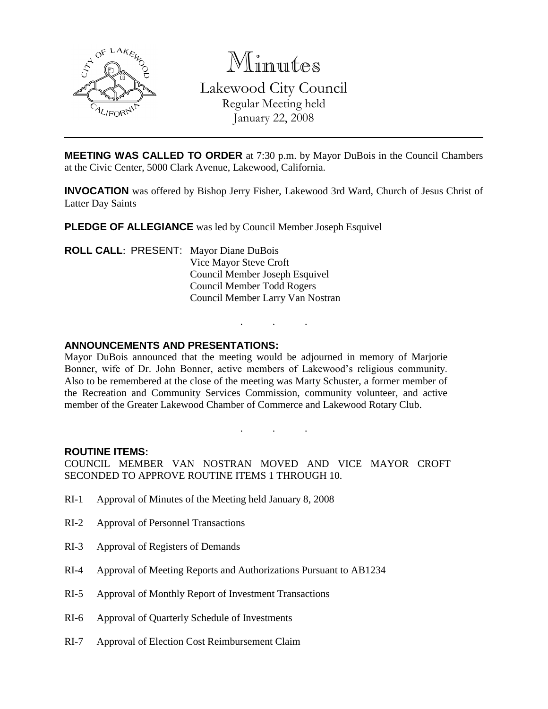

Minutes

Lakewood City Council

Regular Meeting held January 22, 2008

**MEETING WAS CALLED TO ORDER** at 7:30 p.m. by Mayor DuBois in the Council Chambers at the Civic Center, 5000 Clark Avenue, Lakewood, California.

**INVOCATION** was offered by Bishop Jerry Fisher, Lakewood 3rd Ward, Church of Jesus Christ of Latter Day Saints

**PLEDGE OF ALLEGIANCE** was led by Council Member Joseph Esquivel

**ROLL CALL**: PRESENT: Mayor Diane DuBois Vice Mayor Steve Croft Council Member Joseph Esquivel Council Member Todd Rogers Council Member Larry Van Nostran

## **ANNOUNCEMENTS AND PRESENTATIONS:**

Mayor DuBois announced that the meeting would be adjourned in memory of Marjorie Bonner, wife of Dr. John Bonner, active members of Lakewood's religious community. Also to be remembered at the close of the meeting was Marty Schuster, a former member of the Recreation and Community Services Commission, community volunteer, and active member of the Greater Lakewood Chamber of Commerce and Lakewood Rotary Club.

. . .

. . .

## **ROUTINE ITEMS:**

COUNCIL MEMBER VAN NOSTRAN MOVED AND VICE MAYOR CROFT SECONDED TO APPROVE ROUTINE ITEMS 1 THROUGH 10.

- RI-1 Approval of Minutes of the Meeting held January 8, 2008
- RI-2 Approval of Personnel Transactions
- RI-3 Approval of Registers of Demands
- RI-4 Approval of Meeting Reports and Authorizations Pursuant to AB1234
- RI-5 Approval of Monthly Report of Investment Transactions
- RI-6 Approval of Quarterly Schedule of Investments
- RI-7 Approval of Election Cost Reimbursement Claim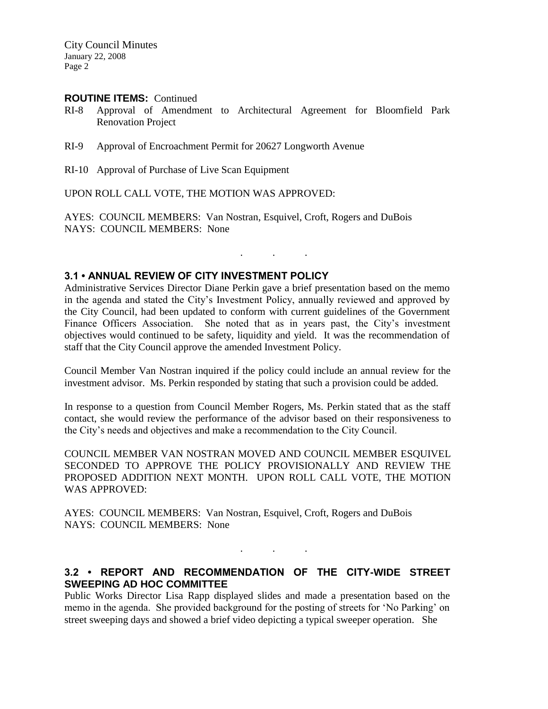City Council Minutes January 22, 2008 Page 2

### **ROUTINE ITEMS:** Continued

- RI-8 Approval of Amendment to Architectural Agreement for Bloomfield Park Renovation Project
- RI-9 Approval of Encroachment Permit for 20627 Longworth Avenue
- RI-10 Approval of Purchase of Live Scan Equipment

UPON ROLL CALL VOTE, THE MOTION WAS APPROVED:

AYES: COUNCIL MEMBERS: Van Nostran, Esquivel, Croft, Rogers and DuBois NAYS: COUNCIL MEMBERS: None

#### **3.1 • ANNUAL REVIEW OF CITY INVESTMENT POLICY**

Administrative Services Director Diane Perkin gave a brief presentation based on the memo in the agenda and stated the City's Investment Policy, annually reviewed and approved by the City Council, had been updated to conform with current guidelines of the Government Finance Officers Association. She noted that as in years past, the City's investment objectives would continued to be safety, liquidity and yield. It was the recommendation of staff that the City Council approve the amended Investment Policy.

. . .

Council Member Van Nostran inquired if the policy could include an annual review for the investment advisor. Ms. Perkin responded by stating that such a provision could be added.

In response to a question from Council Member Rogers, Ms. Perkin stated that as the staff contact, she would review the performance of the advisor based on their responsiveness to the City's needs and objectives and make a recommendation to the City Council.

COUNCIL MEMBER VAN NOSTRAN MOVED AND COUNCIL MEMBER ESQUIVEL SECONDED TO APPROVE THE POLICY PROVISIONALLY AND REVIEW THE PROPOSED ADDITION NEXT MONTH. UPON ROLL CALL VOTE, THE MOTION WAS APPROVED:

AYES: COUNCIL MEMBERS: Van Nostran, Esquivel, Croft, Rogers and DuBois NAYS: COUNCIL MEMBERS: None

## **3.2 • REPORT AND RECOMMENDATION OF THE CITY-WIDE STREET SWEEPING AD HOC COMMITTEE**

. . .

Public Works Director Lisa Rapp displayed slides and made a presentation based on the memo in the agenda. She provided background for the posting of streets for 'No Parking' on street sweeping days and showed a brief video depicting a typical sweeper operation. She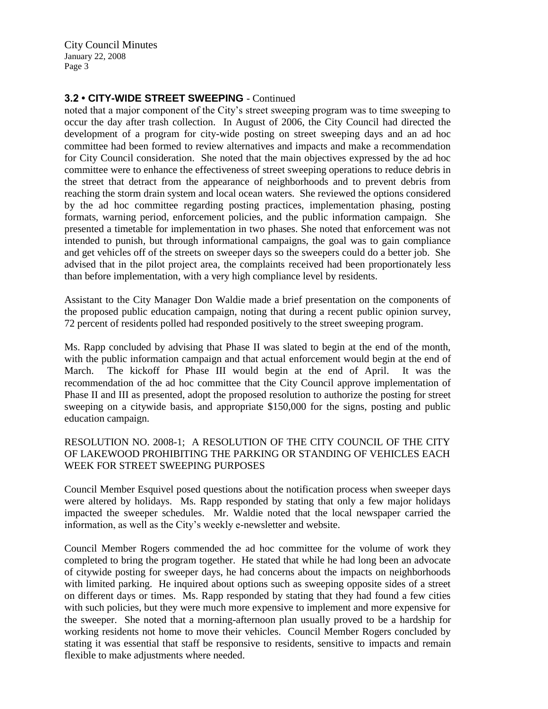City Council Minutes January 22, 2008 Page 3

# **3.2 • CITY-WIDE STREET SWEEPING** - Continued

noted that a major component of the City's street sweeping program was to time sweeping to occur the day after trash collection. In August of 2006, the City Council had directed the development of a program for city-wide posting on street sweeping days and an ad hoc committee had been formed to review alternatives and impacts and make a recommendation for City Council consideration. She noted that the main objectives expressed by the ad hoc committee were to enhance the effectiveness of street sweeping operations to reduce debris in the street that detract from the appearance of neighborhoods and to prevent debris from reaching the storm drain system and local ocean waters. She reviewed the options considered by the ad hoc committee regarding posting practices, implementation phasing, posting formats, warning period, enforcement policies, and the public information campaign. She presented a timetable for implementation in two phases. She noted that enforcement was not intended to punish, but through informational campaigns, the goal was to gain compliance and get vehicles off of the streets on sweeper days so the sweepers could do a better job. She advised that in the pilot project area, the complaints received had been proportionately less than before implementation, with a very high compliance level by residents.

Assistant to the City Manager Don Waldie made a brief presentation on the components of the proposed public education campaign, noting that during a recent public opinion survey, 72 percent of residents polled had responded positively to the street sweeping program.

Ms. Rapp concluded by advising that Phase II was slated to begin at the end of the month, with the public information campaign and that actual enforcement would begin at the end of March. The kickoff for Phase III would begin at the end of April. It was the recommendation of the ad hoc committee that the City Council approve implementation of Phase II and III as presented, adopt the proposed resolution to authorize the posting for street sweeping on a citywide basis, and appropriate \$150,000 for the signs, posting and public education campaign.

## RESOLUTION NO. 2008-1; A RESOLUTION OF THE CITY COUNCIL OF THE CITY OF LAKEWOOD PROHIBITING THE PARKING OR STANDING OF VEHICLES EACH WEEK FOR STREET SWEEPING PURPOSES

Council Member Esquivel posed questions about the notification process when sweeper days were altered by holidays. Ms. Rapp responded by stating that only a few major holidays impacted the sweeper schedules. Mr. Waldie noted that the local newspaper carried the information, as well as the City's weekly e-newsletter and website.

Council Member Rogers commended the ad hoc committee for the volume of work they completed to bring the program together. He stated that while he had long been an advocate of citywide posting for sweeper days, he had concerns about the impacts on neighborhoods with limited parking. He inquired about options such as sweeping opposite sides of a street on different days or times. Ms. Rapp responded by stating that they had found a few cities with such policies, but they were much more expensive to implement and more expensive for the sweeper. She noted that a morning-afternoon plan usually proved to be a hardship for working residents not home to move their vehicles. Council Member Rogers concluded by stating it was essential that staff be responsive to residents, sensitive to impacts and remain flexible to make adjustments where needed.